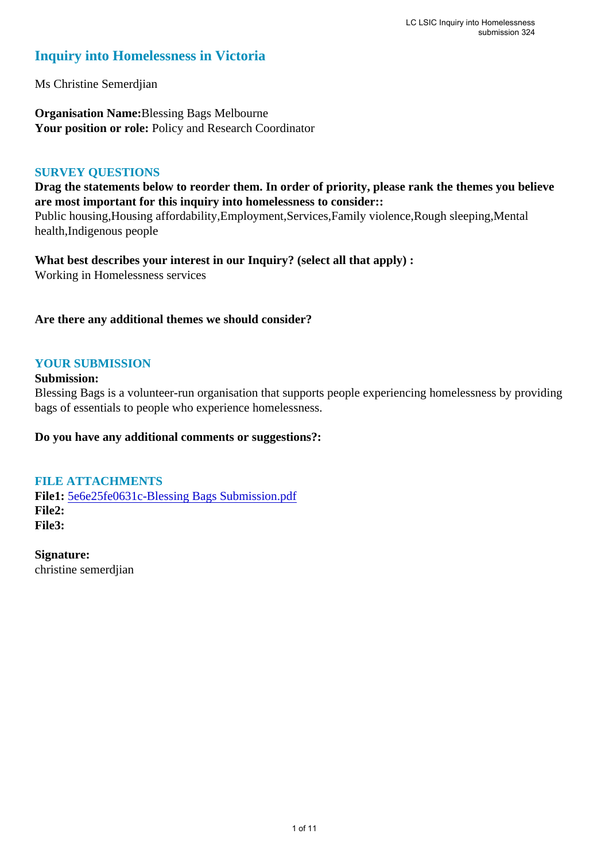# **Inquiry into Homelessness in Victoria**

Ms Christine Semerdjian

**Organisation Name:**Blessing Bags Melbourne Your position or role: Policy and Research Coordinator

## **SURVEY QUESTIONS**

**Drag the statements below to reorder them. In order of priority, please rank the themes you believe are most important for this inquiry into homelessness to consider::** 

Public housing,Housing affordability,Employment,Services,Family violence,Rough sleeping,Mental health,Indigenous people

**What best describes your interest in our Inquiry? (select all that apply) :**  Working in Homelessness services

## **Are there any additional themes we should consider?**

# **YOUR SUBMISSION**

#### **Submission:**

Blessing Bags is a volunteer-run organisation that supports people experiencing homelessness by providing bags of essentials to people who experience homelessness.

#### **Do you have any additional comments or suggestions?:**

#### **FILE ATTACHMENTS**

**File1:** 5e6e25fe0631c-Blessing Bags Submission.pdf **File2: File3:** 

**Signature:** christine semerdjian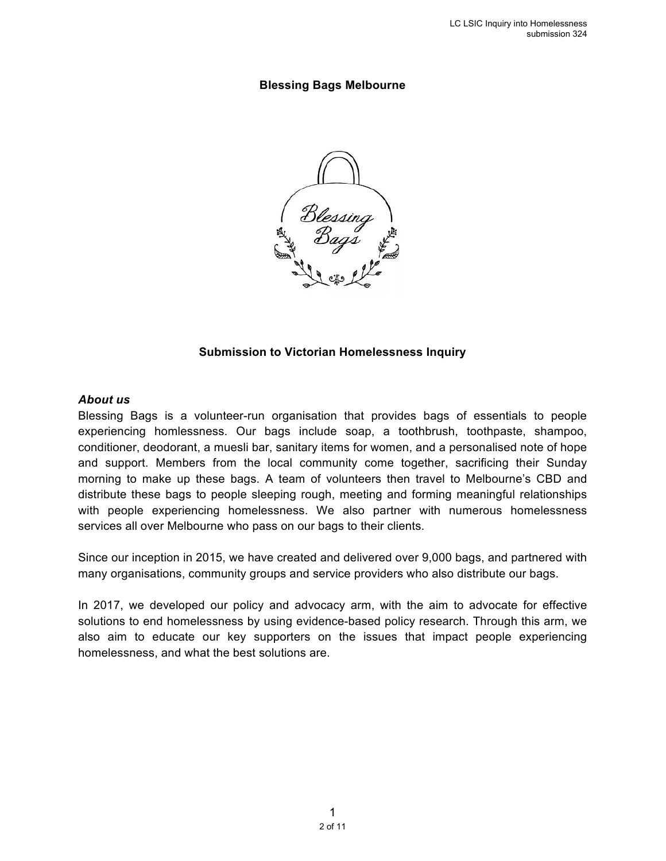#### **Blessing Bags Melbourne**



#### **Submission to Victorian Homelessness Inquiry**

#### *About us*

Blessing Bags is a volunteer-run organisation that provides bags of essentials to people experiencing homlessness. Our bags include soap, a toothbrush, toothpaste, shampoo, conditioner, deodorant, a muesli bar, sanitary items for women, and a personalised note of hope and support. Members from the local community come together, sacrificing their Sunday morning to make up these bags. A team of volunteers then travel to Melbourne's CBD and distribute these bags to people sleeping rough, meeting and forming meaningful relationships with people experiencing homelessness. We also partner with numerous homelessness services all over Melbourne who pass on our bags to their clients.

Since our inception in 2015, we have created and delivered over 9,000 bags, and partnered with many organisations, community groups and service providers who also distribute our bags.

In 2017, we developed our policy and advocacy arm, with the aim to advocate for effective solutions to end homelessness by using evidence-based policy research. Through this arm, we also aim to educate our key supporters on the issues that impact people experiencing homelessness, and what the best solutions are.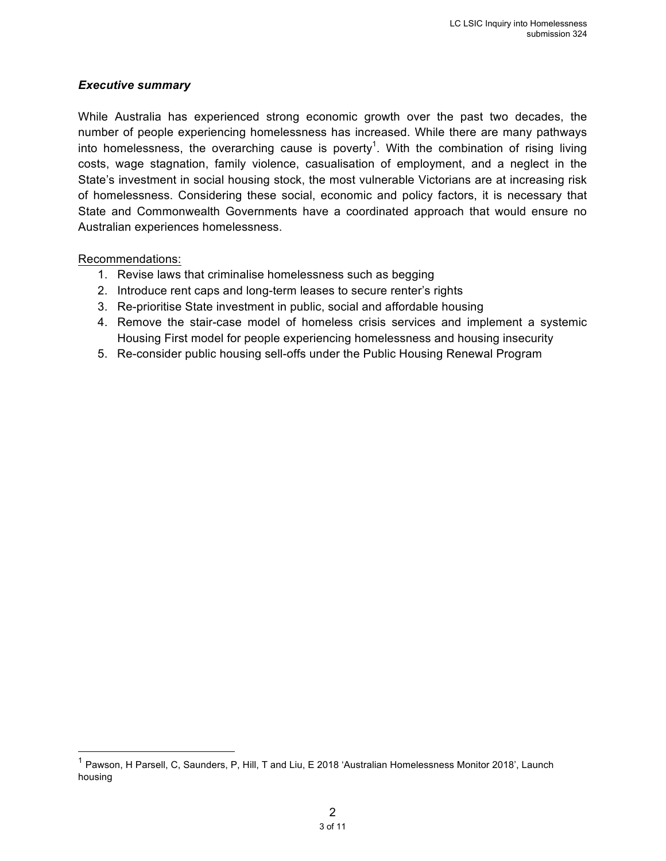## *Executive summary*

While Australia has experienced strong economic growth over the past two decades, the number of people experiencing homelessness has increased. While there are many pathways into homelessness, the overarching cause is poverty<sup>1</sup>. With the combination of rising living costs, wage stagnation, family violence, casualisation of employment, and a neglect in the State's investment in social housing stock, the most vulnerable Victorians are at increasing risk of homelessness. Considering these social, economic and policy factors, it is necessary that State and Commonwealth Governments have a coordinated approach that would ensure no Australian experiences homelessness.

#### Recommendations:

- 1. Revise laws that criminalise homelessness such as begging
- 2. Introduce rent caps and long-term leases to secure renter's rights
- 3. Re-prioritise State investment in public, social and affordable housing
- 4. Remove the stair-case model of homeless crisis services and implement a systemic Housing First model for people experiencing homelessness and housing insecurity
- 5. Re-consider public housing sell-offs under the Public Housing Renewal Program

<sup>&</sup>lt;sup>1</sup> Pawson, H Parsell, C, Saunders, P, Hill, T and Liu, E 2018 'Australian Homelessness Monitor 2018', Launch housing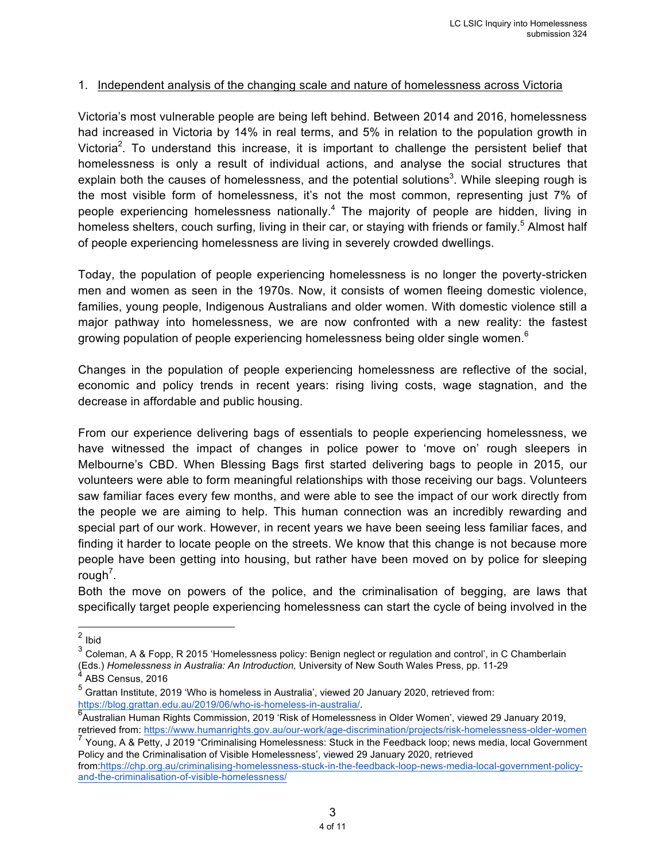#### 1. Independent analysis of the changing scale and nature of homelessness across Victoria

Victoria's most vulnerable people are being left behind. Between 2014 and 2016, homelessness had increased in Victoria by 14% in real terms, and 5% in relation to the population growth in Victoria<sup>2</sup>. To understand this increase, it is important to challenge the persistent belief that homelessness is only a result of individual actions, and analyse the social structures that explain both the causes of homelessness, and the potential solutions<sup>3</sup>. While sleeping rough is the most visible form of homelessness, it's not the most common, representing just 7% of people experiencing homelessness nationally.4 The majority of people are hidden, living in homeless shelters, couch surfing, living in their car, or staying with friends or family.<sup>5</sup> Almost half of people experiencing homelessness are living in severely crowded dwellings.

Today, the population of people experiencing homelessness is no longer the poverty-stricken men and women as seen in the 1970s. Now, it consists of women fleeing domestic violence, families, young people, Indigenous Australians and older women. With domestic violence still a major pathway into homelessness, we are now confronted with a new reality: the fastest growing population of people experiencing homelessness being older single women.<sup>6</sup>

Changes in the population of people experiencing homelessness are reflective of the social, economic and policy trends in recent years: rising living costs, wage stagnation, and the decrease in affordable and public housing.

From our experience delivering bags of essentials to people experiencing homelessness, we have witnessed the impact of changes in police power to 'move on' rough sleepers in Melbourne's CBD. When Blessing Bags first started delivering bags to people in 2015, our volunteers were able to form meaningful relationships with those receiving our bags. Volunteers saw familiar faces every few months, and were able to see the impact of our work directly from the people we are aiming to help. This human connection was an incredibly rewarding and special part of our work. However, in recent years we have been seeing less familiar faces, and finding it harder to locate people on the streets. We know that this change is not because more people have been getting into housing, but rather have been moved on by police for sleeping rough<sup>7</sup>.

Both the move on powers of the police, and the criminalisation of begging, are laws that specifically target people experiencing homelessness can start the cycle of being involved in the

 <sup>2</sup> Ibid

<sup>3</sup> Coleman, A & Fopp, R 2015 'Homelessness policy: Benign neglect or regulation and control', in C Chamberlain (Eds.) *Homelessness in Australia: An Introduction,* University of New South Wales Press, pp. 11-29

ABS Census, 2016

<sup>5</sup> Grattan Institute, 2019 'Who is homeless in Australia', viewed 20 January 2020, retrieved from: https://blog.grattan.edu.au/2019/06/who-is-homeless-in-australia/.

Australian Human Rights Commission, 2019 'Risk of Homelessness in Older Women', viewed 29 January 2019, retrieved from: https://www.humanrights.gov.au/our-work/age-discrimination/projects/risk-homelessness-older-women

<sup>7</sup> Young, A & Petty, J 2019 "Criminalising Homelessness: Stuck in the Feedback loop; news media, local Government Policy and the Criminalisation of Visible Homelessness', viewed 29 January 2020, retrieved

from:https://chp.org.au/criminalising-homelessness-stuck-in-the-feedback-loop-news-media-local-government-policyand-the-criminalisation-of-visible-homelessness/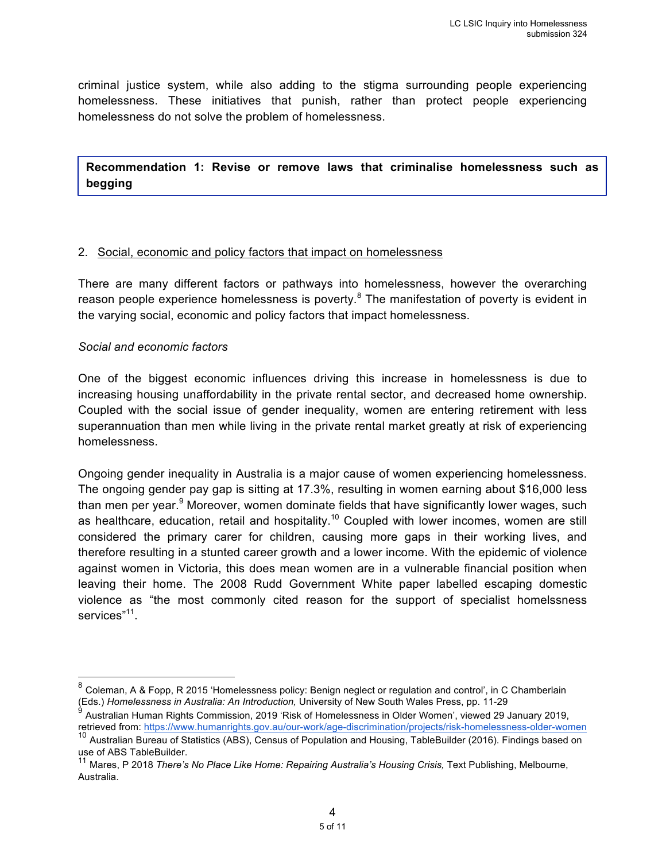criminal justice system, while also adding to the stigma surrounding people experiencing homelessness. These initiatives that punish, rather than protect people experiencing homelessness do not solve the problem of homelessness.

**Recommendation 1: Revise or remove laws that criminalise homelessness such as begging** 

#### 2. Social, economic and policy factors that impact on homelessness

There are many different factors or pathways into homelessness, however the overarching reason people experience homelessness is poverty. $8$  The manifestation of poverty is evident in the varying social, economic and policy factors that impact homelessness.

#### *Social and economic factors*

One of the biggest economic influences driving this increase in homelessness is due to increasing housing unaffordability in the private rental sector, and decreased home ownership. Coupled with the social issue of gender inequality, women are entering retirement with less superannuation than men while living in the private rental market greatly at risk of experiencing homelessness.

Ongoing gender inequality in Australia is a major cause of women experiencing homelessness. The ongoing gender pay gap is sitting at 17.3%, resulting in women earning about \$16,000 less than men per year.<sup>9</sup> Moreover, women dominate fields that have significantly lower wages, such as healthcare, education, retail and hospitality.<sup>10</sup> Coupled with lower incomes, women are still considered the primary carer for children, causing more gaps in their working lives, and therefore resulting in a stunted career growth and a lower income. With the epidemic of violence against women in Victoria, this does mean women are in a vulnerable financial position when leaving their home. The 2008 Rudd Government White paper labelled escaping domestic violence as "the most commonly cited reason for the support of specialist homelssness services"<sup>11</sup>.

 <sup>8</sup> Coleman, A & Fopp, R 2015 'Homelessness policy: Benign neglect or regulation and control', in C Chamberlain (Eds.) *Homelessness in Australia: An Introduction,* University of New South Wales Press, pp. 11-29

 $^9$  Australian Human Rights Commission, 2019 'Risk of Homelessness in Older Women', viewed 29 January 2019, retrieved from: https://www.humanrights.gov.au/our-work/age-discrimination/projects/risk-homelessness-older-women

<sup>&</sup>lt;sup>10</sup> Australian Bureau of Statistics (ABS), Census of Population and Housing, TableBuilder (2016). Findings based on use of ABS TableBuilder.

<sup>&</sup>lt;sup>11</sup> Mares, P 2018 *There's No Place Like Home: Repairing Australia's Housing Crisis, Text Publishing, Melbourne,* Australia.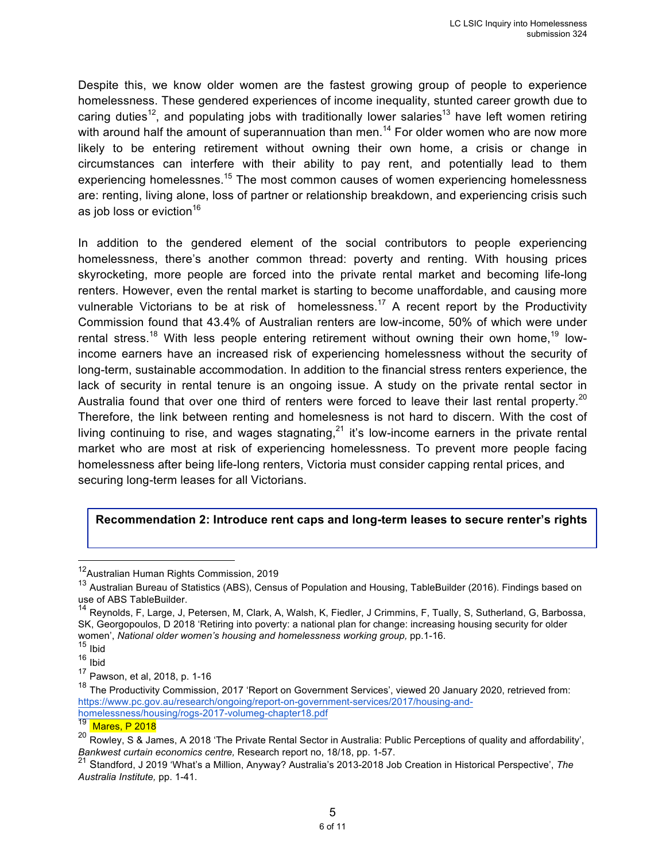Despite this, we know older women are the fastest growing group of people to experience homelessness. These gendered experiences of income inequality, stunted career growth due to caring duties<sup>12</sup>, and populating jobs with traditionally lower salaries<sup>13</sup> have left women retiring with around half the amount of superannuation than men.<sup>14</sup> For older women who are now more likely to be entering retirement without owning their own home, a crisis or change in circumstances can interfere with their ability to pay rent, and potentially lead to them experiencing homelessnes.<sup>15</sup> The most common causes of women experiencing homelessness are: renting, living alone, loss of partner or relationship breakdown, and experiencing crisis such as job loss or eviction $16$ 

In addition to the gendered element of the social contributors to people experiencing homelessness, there's another common thread: poverty and renting. With housing prices skyrocketing, more people are forced into the private rental market and becoming life-long renters. However, even the rental market is starting to become unaffordable, and causing more vulnerable Victorians to be at risk of homelessness.<sup>17</sup> A recent report by the Productivity Commission found that 43.4% of Australian renters are low-income, 50% of which were under rental stress.<sup>18</sup> With less people entering retirement without owning their own home,<sup>19</sup> lowincome earners have an increased risk of experiencing homelessness without the security of long-term, sustainable accommodation. In addition to the financial stress renters experience, the lack of security in rental tenure is an ongoing issue. A study on the private rental sector in Australia found that over one third of renters were forced to leave their last rental property.<sup>20</sup> Therefore, the link between renting and homelesness is not hard to discern. With the cost of living continuing to rise, and wages stagnating,  $21$  it's low-income earners in the private rental market who are most at risk of experiencing homelessness. To prevent more people facing homelessness after being life-long renters, Victoria must consider capping rental prices, and securing long-term leases for all Victorians.

#### **Recommendation 2: Introduce rent caps and long-term leases to secure renter's rights**

 <sup>12</sup>Australian Human Rights Commission, 2019

<sup>13</sup> Australian Bureau of Statistics (ABS), Census of Population and Housing, TableBuilder (2016). Findings based on use of ABS TableBuilder.

<sup>14</sup> Reynolds, F, Large, J, Petersen, M, Clark, A, Walsh, K, Fiedler, J Crimmins, F, Tually, S, Sutherland, G, Barbossa, SK, Georgopoulos, D 2018 'Retiring into poverty: a national plan for change: increasing housing security for older women', National older women's housing and homelessness working group, pp.1-16.

 $15$  Ibid

<sup>16</sup> Ibid

<sup>17</sup> Pawson, et al, 2018, p. 1-16

<sup>&</sup>lt;sup>18</sup> The Productivity Commission, 2017 'Report on Government Services', viewed 20 January 2020, retrieved from: https://www.pc.gov.au/research/ongoing/report-on-government-services/2017/housing-andhomelessness/housing/rogs-2017-volumeg-chapter18.pdf

<sup>19</sup> Mares, P 2018

<sup>&</sup>lt;sup>20</sup> Rowley, S & James, A 2018 'The Private Rental Sector in Australia: Public Perceptions of quality and affordability', *Bankwest curtain economics centre,* Research report no, 18/18, pp. 1-57.

<sup>21</sup> Standford, J 2019 'What's a Million, Anyway? Australia's 2013-2018 Job Creation in Historical Perspective', *The Australia Institute,* pp. 1-41.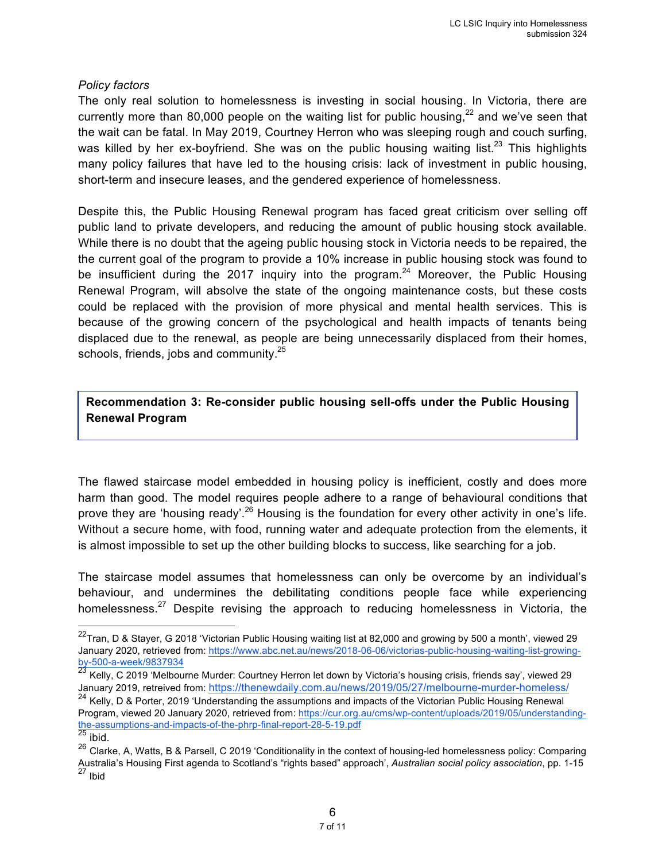#### *Policy factors*

The only real solution to homelessness is investing in social housing. In Victoria, there are currently more than 80,000 people on the waiting list for public housing,  $22$  and we've seen that the wait can be fatal. In May 2019, Courtney Herron who was sleeping rough and couch surfing, was killed by her ex-boyfriend. She was on the public housing waiting list.<sup>23</sup> This highlights many policy failures that have led to the housing crisis: lack of investment in public housing, short-term and insecure leases, and the gendered experience of homelessness.

Despite this, the Public Housing Renewal program has faced great criticism over selling off public land to private developers, and reducing the amount of public housing stock available. While there is no doubt that the ageing public housing stock in Victoria needs to be repaired, the the current goal of the program to provide a 10% increase in public housing stock was found to be insufficient during the 2017 inquiry into the program.<sup>24</sup> Moreover, the Public Housing Renewal Program, will absolve the state of the ongoing maintenance costs, but these costs could be replaced with the provision of more physical and mental health services. This is because of the growing concern of the psychological and health impacts of tenants being displaced due to the renewal, as people are being unnecessarily displaced from their homes, schools, friends, jobs and community.<sup>25</sup>

**Recommendation 3: Re-consider public housing sell-offs under the Public Housing Renewal Program** 

The flawed staircase model embedded in housing policy is inefficient, costly and does more harm than good. The model requires people adhere to a range of behavioural conditions that prove they are 'housing ready'.<sup>26</sup> Housing is the foundation for every other activity in one's life. Without a secure home, with food, running water and adequate protection from the elements, it is almost impossible to set up the other building blocks to success, like searching for a job.

The staircase model assumes that homelessness can only be overcome by an individual's behaviour, and undermines the debilitating conditions people face while experiencing homelessness.<sup>27</sup> Despite revising the approach to reducing homelessness in Victoria, the

 $22$ Tran, D & Stayer, G 2018 'Victorian Public Housing waiting list at 82,000 and growing by 500 a month', viewed 29 January 2020, retrieved from: https://www.abc.net.au/news/2018-06-06/victorias-public-housing-waiting-list-growingby-500-a-week/9837934

 $^{23}$  Kelly, C 2019 'Melbourne Murder: Courtney Herron let down by Victoria's housing crisis, friends say', viewed 29 January 2019, retreived from: https://thenewdaily.com.au/news/2019/05/27/melbourne-murder-homeless/

<sup>&</sup>lt;sup>24</sup> Kelly, D & Porter, 2019 'Understanding the assumptions and impacts of the Victorian Public Housing Renewal Program, viewed 20 January 2020, retrieved from: https://cur.org.au/cms/wp-content/uploads/2019/05/understandingthe-assumptions-and-impacts-of-the-phrp-final-report-28-5-19.pdf

 $^{25}$  ibid.

<sup>&</sup>lt;sup>26</sup> Clarke, A, Watts, B & Parsell, C 2019 'Conditionality in the context of housing-led homelessness policy: Comparing Australia's Housing First agenda to Scotland's "rights based" approach', *Australian social policy association*, pp. 1-15 <sup>27</sup> Ibid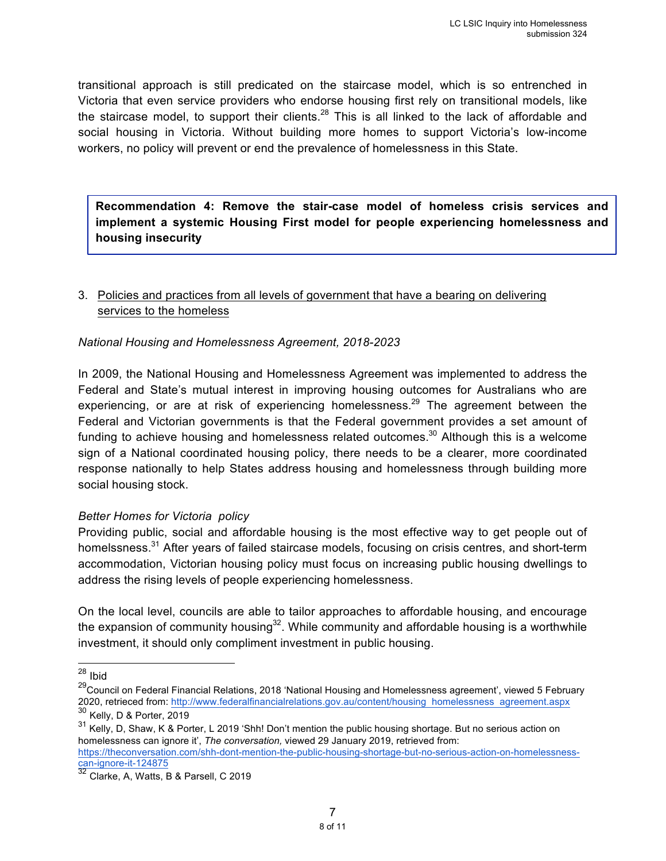transitional approach is still predicated on the staircase model, which is so entrenched in Victoria that even service providers who endorse housing first rely on transitional models, like the staircase model, to support their clients.<sup>28</sup> This is all linked to the lack of affordable and social housing in Victoria. Without building more homes to support Victoria's low-income workers, no policy will prevent or end the prevalence of homelessness in this State.

**Recommendation 4: Remove the stair-case model of homeless crisis services and implement a systemic Housing First model for people experiencing homelessness and housing insecurity**

# 3. Policies and practices from all levels of government that have a bearing on delivering services to the homeless

#### *National Housing and Homelessness Agreement, 2018-2023*

In 2009, the National Housing and Homelessness Agreement was implemented to address the Federal and State's mutual interest in improving housing outcomes for Australians who are experiencing, or are at risk of experiencing homelessness.<sup>29</sup> The agreement between the Federal and Victorian governments is that the Federal government provides a set amount of funding to achieve housing and homelessness related outcomes.<sup>30</sup> Although this is a welcome sign of a National coordinated housing policy, there needs to be a clearer, more coordinated response nationally to help States address housing and homelessness through building more social housing stock.

#### *Better Homes for Victoria policy*

Providing public, social and affordable housing is the most effective way to get people out of homelssness.<sup>31</sup> After years of failed staircase models, focusing on crisis centres, and short-term accommodation, Victorian housing policy must focus on increasing public housing dwellings to address the rising levels of people experiencing homelessness.

On the local level, councils are able to tailor approaches to affordable housing, and encourage the expansion of community housing<sup>32</sup>. While community and affordable housing is a worthwhile investment, it should only compliment investment in public housing.

<sup>&</sup>lt;sup>28</sup> Ibid

<sup>&</sup>lt;sup>29</sup>Council on Federal Financial Relations, 2018 'National Housing and Homelessness agreement', viewed 5 February 2020, retrieced from: http://www.federalfinancialrelations.gov.au/content/housing homelessness agreement.aspx  $^{30}$  Kelly, D & Porter, 2019

<sup>&</sup>lt;sup>31</sup> Kelly, D, Shaw, K & Porter, L 2019 'Shh! Don't mention the public housing shortage. But no serious action on homelessness can ignore it', *The conversation,* viewed 29 January 2019, retrieved from:

https://theconversation.com/shh-dont-mention-the-public-housing-shortage-but-no-serious-action-on-homelessnesscan-ignore-it-124875

<sup>&</sup>lt;sup>32</sup> Clarke, A, Watts, B & Parsell, C 2019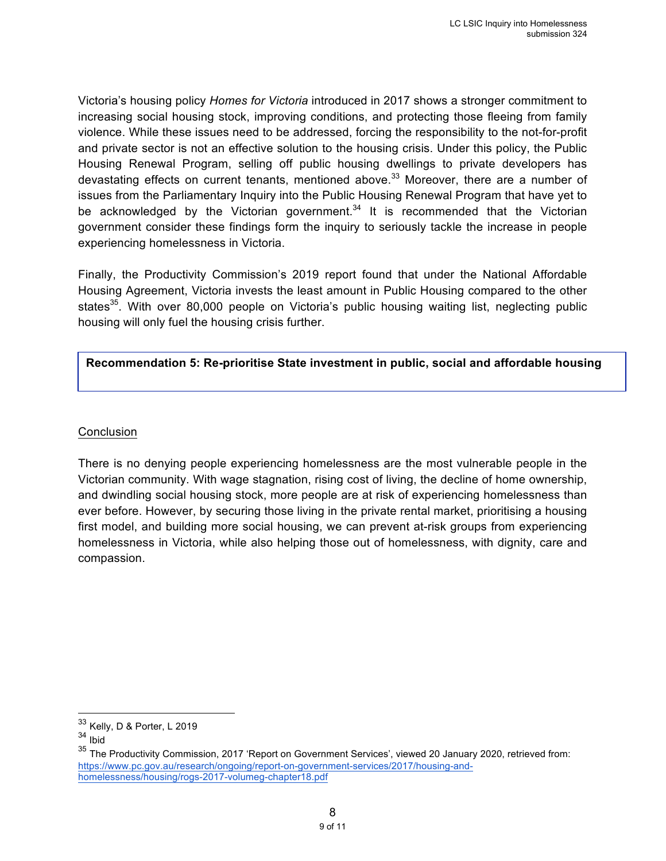Victoria's housing policy *Homes for Victoria* introduced in 2017 shows a stronger commitment to increasing social housing stock, improving conditions, and protecting those fleeing from family violence. While these issues need to be addressed, forcing the responsibility to the not-for-profit and private sector is not an effective solution to the housing crisis. Under this policy, the Public Housing Renewal Program, selling off public housing dwellings to private developers has devastating effects on current tenants, mentioned above.<sup>33</sup> Moreover, there are a number of issues from the Parliamentary Inquiry into the Public Housing Renewal Program that have yet to be acknowledged by the Victorian government.<sup>34</sup> It is recommended that the Victorian government consider these findings form the inquiry to seriously tackle the increase in people experiencing homelessness in Victoria.

Finally, the Productivity Commission's 2019 report found that under the National Affordable Housing Agreement, Victoria invests the least amount in Public Housing compared to the other states<sup>35</sup>. With over 80,000 people on Victoria's public housing waiting list, neglecting public housing will only fuel the housing crisis further.

## **Recommendation 5: Re-prioritise State investment in public, social and affordable housing**

#### **Conclusion**

There is no denying people experiencing homelessness are the most vulnerable people in the Victorian community. With wage stagnation, rising cost of living, the decline of home ownership, and dwindling social housing stock, more people are at risk of experiencing homelessness than ever before. However, by securing those living in the private rental market, prioritising a housing first model, and building more social housing, we can prevent at-risk groups from experiencing homelessness in Victoria, while also helping those out of homelessness, with dignity, care and compassion.

 <sup>33</sup> Kelly, D & Porter, L 2019

<sup>34</sup> Ibid

<sup>35</sup> The Productivity Commission, 2017 'Report on Government Services', viewed 20 January 2020, retrieved from: https://www.pc.gov.au/research/ongoing/report-on-government-services/2017/housing-andhomelessness/housing/rogs-2017-volumeg-chapter18.pdf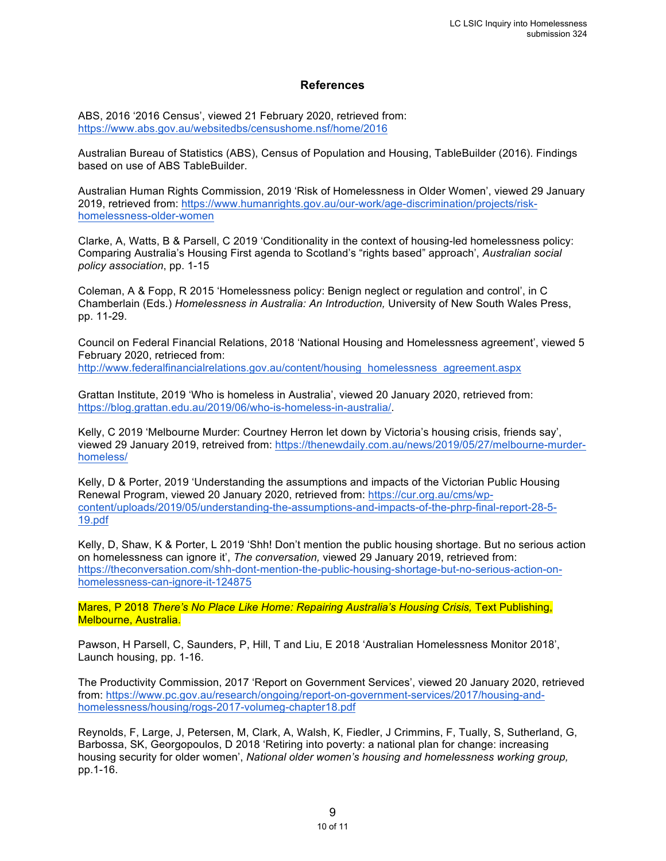#### **References**

ABS, 2016 '2016 Census', viewed 21 February 2020, retrieved from: https://www.abs.gov.au/websitedbs/censushome.nsf/home/2016

Australian Bureau of Statistics (ABS), Census of Population and Housing, TableBuilder (2016). Findings based on use of ABS TableBuilder.

Australian Human Rights Commission, 2019 'Risk of Homelessness in Older Women', viewed 29 January 2019, retrieved from: https://www.humanrights.gov.au/our-work/age-discrimination/projects/riskhomelessness-older-women

Clarke, A, Watts, B & Parsell, C 2019 'Conditionality in the context of housing-led homelessness policy: Comparing Australia's Housing First agenda to Scotland's "rights based" approach', *Australian social policy association*, pp. 1-15

Coleman, A & Fopp, R 2015 'Homelessness policy: Benign neglect or regulation and control', in C Chamberlain (Eds.) *Homelessness in Australia: An Introduction,* University of New South Wales Press, pp. 11-29.

Council on Federal Financial Relations, 2018 'National Housing and Homelessness agreement', viewed 5 February 2020, retrieced from:

http://www.federalfinancialrelations.gov.au/content/housing homelessness agreement.aspx

Grattan Institute, 2019 'Who is homeless in Australia', viewed 20 January 2020, retrieved from: https://blog.grattan.edu.au/2019/06/who-is-homeless-in-australia/.

Kelly, C 2019 'Melbourne Murder: Courtney Herron let down by Victoria's housing crisis, friends say', viewed 29 January 2019, retreived from: https://thenewdaily.com.au/news/2019/05/27/melbourne-murderhomeless/

Kelly, D & Porter, 2019 'Understanding the assumptions and impacts of the Victorian Public Housing Renewal Program, viewed 20 January 2020, retrieved from: https://cur.org.au/cms/wpcontent/uploads/2019/05/understanding-the-assumptions-and-impacts-of-the-phrp-final-report-28-5- 19.pdf

Kelly, D, Shaw, K & Porter, L 2019 'Shh! Don't mention the public housing shortage. But no serious action on homelessness can ignore it', *The conversation,* viewed 29 January 2019, retrieved from: https://theconversation.com/shh-dont-mention-the-public-housing-shortage-but-no-serious-action-onhomelessness-can-ignore-it-124875

Mares, P 2018 *There's No Place Like Home: Repairing Australia's Housing Crisis,* Text Publishing, Melbourne, Australia.

Pawson, H Parsell, C, Saunders, P, Hill, T and Liu, E 2018 'Australian Homelessness Monitor 2018', Launch housing, pp. 1-16.

The Productivity Commission, 2017 'Report on Government Services', viewed 20 January 2020, retrieved from: https://www.pc.gov.au/research/ongoing/report-on-government-services/2017/housing-andhomelessness/housing/rogs-2017-volumeg-chapter18.pdf

Reynolds, F, Large, J, Petersen, M, Clark, A, Walsh, K, Fiedler, J Crimmins, F, Tually, S, Sutherland, G, Barbossa, SK, Georgopoulos, D 2018 'Retiring into poverty: a national plan for change: increasing housing security for older women', *National older women's housing and homelessness working group,*  pp.1-16.